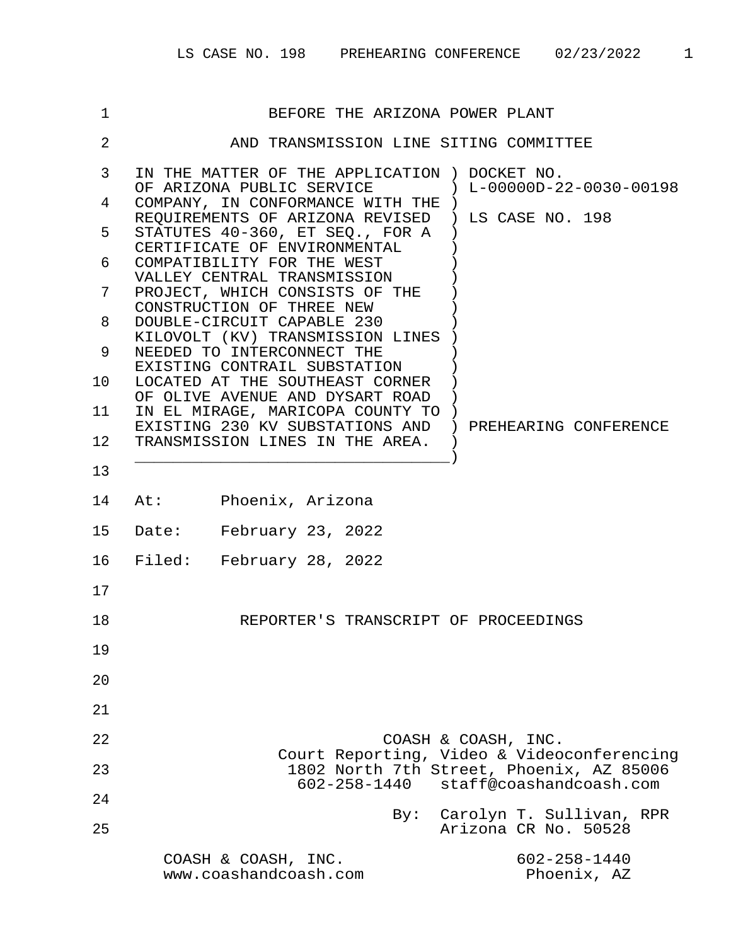| 1                 | BEFORE THE ARIZONA POWER PLANT                                                                                                         |  |  |  |
|-------------------|----------------------------------------------------------------------------------------------------------------------------------------|--|--|--|
| $\overline{2}$    | AND TRANSMISSION LINE SITING COMMITTEE                                                                                                 |  |  |  |
| 3                 | IN THE MATTER OF THE APPLICATION ) DOCKET NO.                                                                                          |  |  |  |
| 4                 | OF ARIZONA PUBLIC SERVICE $\qquad \qquad$ ) L-00000D-22-0030-00198<br>COMPANY, IN CONFORMANCE WITH THE )                               |  |  |  |
| 5                 | REQUIREMENTS OF ARIZONA REVISED ) LS CASE NO. 198<br>STATUTES 40-360, ET SEO., FOR A                                                   |  |  |  |
| 6                 | CERTIFICATE OF ENVIRONMENTAL<br>COMPATIBILITY FOR THE WEST                                                                             |  |  |  |
| 7                 | VALLEY CENTRAL TRANSMISSION<br>PROJECT, WHICH CONSISTS OF THE                                                                          |  |  |  |
| 8                 | CONSTRUCTION OF THREE NEW<br>DOUBLE-CIRCUIT CAPABLE 230<br>KILOVOLT (KV) TRANSMISSION LINES<br>NEEDED TO INTERCONNECT THE              |  |  |  |
| 9                 |                                                                                                                                        |  |  |  |
| 10 <sup>°</sup>   | EXISTING CONTRAIL SUBSTATION<br>LOCATED AT THE SOUTHEAST CORNER<br>OF OLIVE AVENUE AND DYSART ROAD<br>IN EL MIRAGE, MARICOPA COUNTY TO |  |  |  |
| 11                |                                                                                                                                        |  |  |  |
| $12 \overline{ }$ | EXISTING 230 KV SUBSTATIONS AND ) PREHEARING CONFERENCE<br>TRANSMISSION LINES IN THE AREA.                                             |  |  |  |
| 13                |                                                                                                                                        |  |  |  |
| 14                | At: Phoenix, Arizona                                                                                                                   |  |  |  |
| 15                | Date: February 23, 2022                                                                                                                |  |  |  |
| 16                | Filed: February 28, 2022                                                                                                               |  |  |  |
| 17                |                                                                                                                                        |  |  |  |
| 18                | REPORTER'S TRANSCRIPT OF PROCEEDINGS                                                                                                   |  |  |  |
| 19                |                                                                                                                                        |  |  |  |
| 20                |                                                                                                                                        |  |  |  |
| 21                |                                                                                                                                        |  |  |  |
| 22                | COASH & COASH, INC.                                                                                                                    |  |  |  |
| 23                | Court Reporting, Video & Videoconferencing<br>1802 North 7th Street, Phoenix, AZ 85006                                                 |  |  |  |
| 24                | 602-258-1440<br>staff@coashandcoash.com                                                                                                |  |  |  |
| 25                | Carolyn T. Sullivan, RPR<br>By:<br>Arizona CR No. 50528                                                                                |  |  |  |
|                   | $602 - 258 - 1440$<br>COASH & COASH, INC.<br>www.coashandcoash.com<br>Phoenix, AZ                                                      |  |  |  |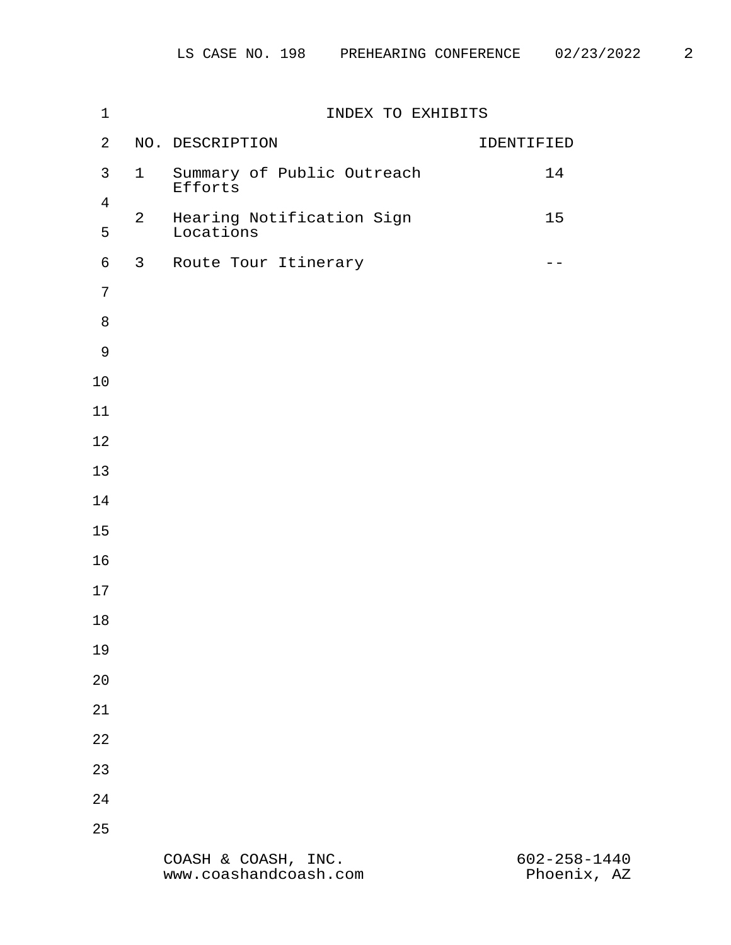| $1\,$               | INDEX TO EXHIBITS |                                        |                    |
|---------------------|-------------------|----------------------------------------|--------------------|
| $\overline{a}$      |                   | NO. DESCRIPTION                        | IDENTIFIED         |
| $\mathfrak{Z}$      | $\mathbf{1}$      | Summary of Public Outreach<br>Efforts  | 14                 |
| $\overline{4}$<br>5 | $\overline{a}$    | Hearing Notification Sign<br>Locations | $15$               |
| $\epsilon$          | $\mathbf{3}$      | Route Tour Itinerary                   | $- -$              |
| $7\phantom{.}$      |                   |                                        |                    |
| $\,8\,$             |                   |                                        |                    |
| $\mathsf 9$         |                   |                                        |                    |
| 10                  |                   |                                        |                    |
| 11                  |                   |                                        |                    |
| 12                  |                   |                                        |                    |
| 13                  |                   |                                        |                    |
| 14                  |                   |                                        |                    |
| 15                  |                   |                                        |                    |
| 16                  |                   |                                        |                    |
| 17                  |                   |                                        |                    |
| 18                  |                   |                                        |                    |
| 19                  |                   |                                        |                    |
| 20                  |                   |                                        |                    |
| 21                  |                   |                                        |                    |
| 22                  |                   |                                        |                    |
| 23                  |                   |                                        |                    |
| 24                  |                   |                                        |                    |
| 25                  |                   |                                        |                    |
|                     |                   | COASH & COASH, INC.                    | $602 - 258 - 1440$ |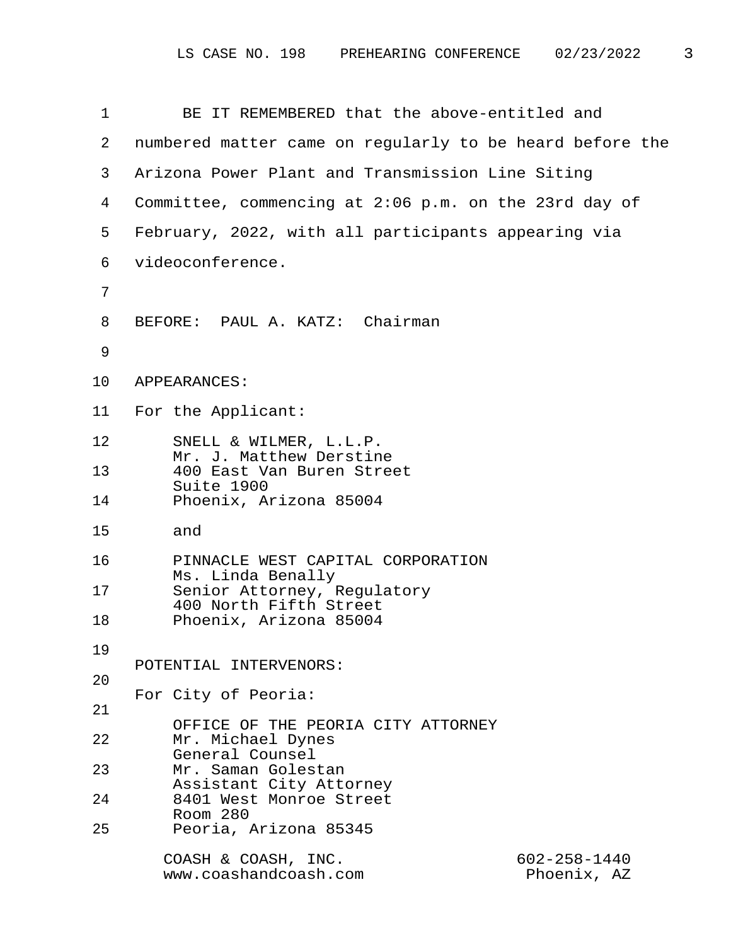| $\mathbf{1}$    | BE IT REMEMBERED that the above-entitled and                                      |
|-----------------|-----------------------------------------------------------------------------------|
| 2               | numbered matter came on regularly to be heard before the                          |
| 3               | Arizona Power Plant and Transmission Line Siting                                  |
| 4               | Committee, commencing at 2:06 p.m. on the 23rd day of                             |
| 5               | February, 2022, with all participants appearing via                               |
| 6               | videoconference.                                                                  |
| 7               |                                                                                   |
| 8               | BEFORE: PAUL A. KATZ: Chairman                                                    |
| 9               |                                                                                   |
| 10              | APPEARANCES:                                                                      |
| 11 <sub>1</sub> | For the Applicant:                                                                |
| 12              | SNELL & WILMER, L.L.P.                                                            |
| 13              | Mr. J. Matthew Derstine<br>400 East Van Buren Street                              |
| 14              | Suite 1900<br>Phoenix, Arizona 85004                                              |
| 15              | and                                                                               |
| 16              | PINNACLE WEST CAPITAL CORPORATION                                                 |
| 17              | Ms. Linda Benally<br>Senior Attorney, Regulatory                                  |
| 18              | 400 North Fifth Street<br>Phoenix, Arizona 85004                                  |
| 19              |                                                                                   |
| 20              | POTENTIAL INTERVENORS:                                                            |
| 21              | For City of Peoria:                                                               |
| 22              | OFFICE OF THE PEORIA CITY ATTORNEY<br>Mr. Michael Dynes                           |
| 23              | General Counsel<br>Mr. Saman Golestan                                             |
| 24              | Assistant City Attorney<br>8401 West Monroe Street                                |
| 25              | Room 280<br>Peoria, Arizona 85345                                                 |
|                 | COASH & COASH, INC.<br>$602 - 258 - 1440$<br>www.coashandcoash.com<br>Phoenix, AZ |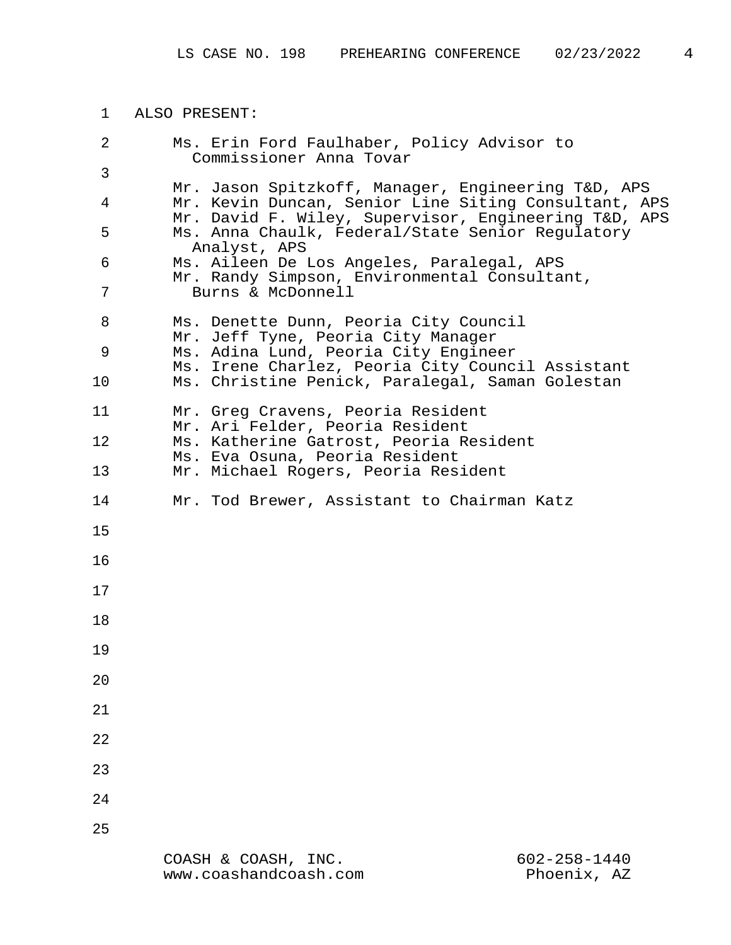1 ALSO PRESENT: 2 Ms. Erin Ford Faulhaber, Policy Advisor to Commissioner Anna Tovar 3 Mr. Jason Spitzkoff, Manager, Engineering T&D, APS 4 Mr. Kevin Duncan, Senior Line Siting Consultant, APS Mr. David F. Wiley, Supervisor, Engineering T&D, APS 5 Ms. Anna Chaulk, Federal/State Senior Regulatory Analyst, APS 6 Ms. Aileen De Los Angeles, Paralegal, APS Mr. Randy Simpson, Environmental Consultant, 7 Burns & McDonnell 8 Ms. Denette Dunn, Peoria City Council Mr. Jeff Tyne, Peoria City Manager 9 Ms. Adina Lund, Peoria City Engineer Ms. Irene Charlez, Peoria City Council Assistant 10 Ms. Christine Penick, Paralegal, Saman Golestan 11 Mr. Greg Cravens, Peoria Resident Mr. Ari Felder, Peoria Resident 12 Ms. Katherine Gatrost, Peoria Resident Ms. Eva Osuna, Peoria Resident 13 Mr. Michael Rogers, Peoria Resident 14 Mr. Tod Brewer, Assistant to Chairman Katz 15 16 17 18 19 20 21 22 23 24 25

> COASH & COASH, INC. 602-258-1440 www.coashandcoash.com Phoenix, AZ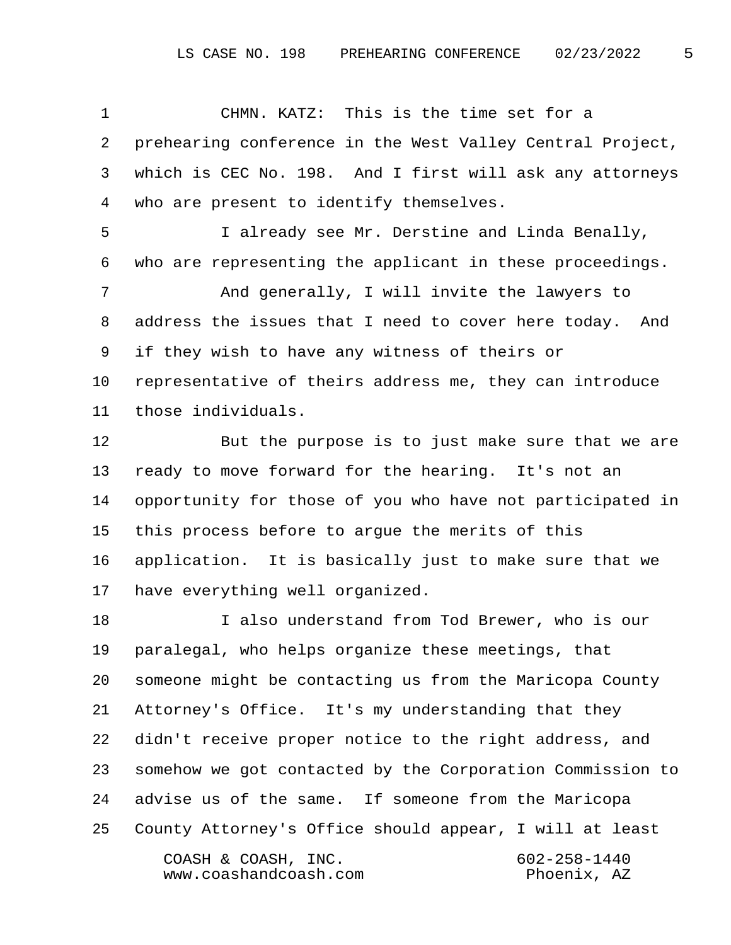1 CHMN. KATZ: This is the time set for a 2 prehearing conference in the West Valley Central Project, 3 which is CEC No. 198. And I first will ask any attorneys 4 who are present to identify themselves. 5 I already see Mr. Derstine and Linda Benally, 6 who are representing the applicant in these proceedings. 7 And generally, I will invite the lawyers to 8 address the issues that I need to cover here today. And 9 if they wish to have any witness of theirs or 10 representative of theirs address me, they can introduce 11 those individuals.

12 But the purpose is to just make sure that we are 13 ready to move forward for the hearing. It's not an 14 opportunity for those of you who have not participated in 15 this process before to argue the merits of this 16 application. It is basically just to make sure that we 17 have everything well organized.

18 I also understand from Tod Brewer, who is our 19 paralegal, who helps organize these meetings, that 20 someone might be contacting us from the Maricopa County 21 Attorney's Office. It's my understanding that they 22 didn't receive proper notice to the right address, and 23 somehow we got contacted by the Corporation Commission to 24 advise us of the same. If someone from the Maricopa 25 County Attorney's Office should appear, I will at least COASH & COASH, INC. 602-258-1440 www.coashandcoash.com Phoenix, AZ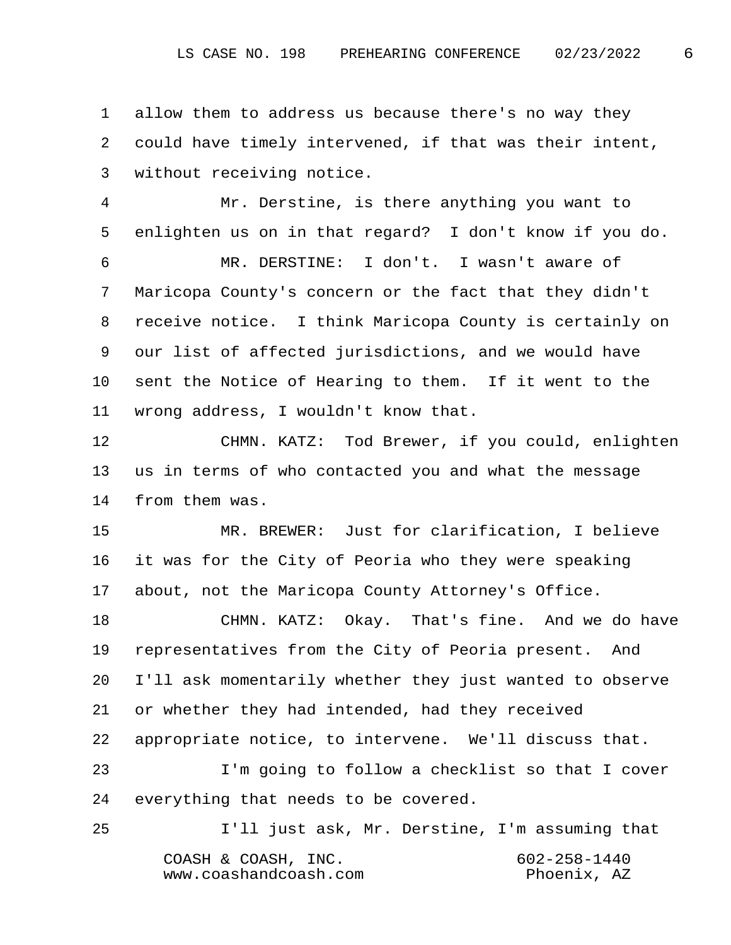1 allow them to address us because there's no way they 2 could have timely intervened, if that was their intent, 3 without receiving notice.

 4 Mr. Derstine, is there anything you want to 5 enlighten us on in that regard? I don't know if you do.

 6 MR. DERSTINE: I don't. I wasn't aware of 7 Maricopa County's concern or the fact that they didn't 8 receive notice. I think Maricopa County is certainly on 9 our list of affected jurisdictions, and we would have 10 sent the Notice of Hearing to them. If it went to the 11 wrong address, I wouldn't know that.

12 CHMN. KATZ: Tod Brewer, if you could, enlighten 13 us in terms of who contacted you and what the message 14 from them was.

15 MR. BREWER: Just for clarification, I believe 16 it was for the City of Peoria who they were speaking 17 about, not the Maricopa County Attorney's Office.

18 CHMN. KATZ: Okay. That's fine. And we do have 19 representatives from the City of Peoria present. And 20 I'll ask momentarily whether they just wanted to observe 21 or whether they had intended, had they received 22 appropriate notice, to intervene. We'll discuss that. 23 I'm going to follow a checklist so that I cover

24 everything that needs to be covered.

25 I'll just ask, Mr. Derstine, I'm assuming that COASH & COASH, INC. 602-258-1440 www.coashandcoash.com Phoenix, AZ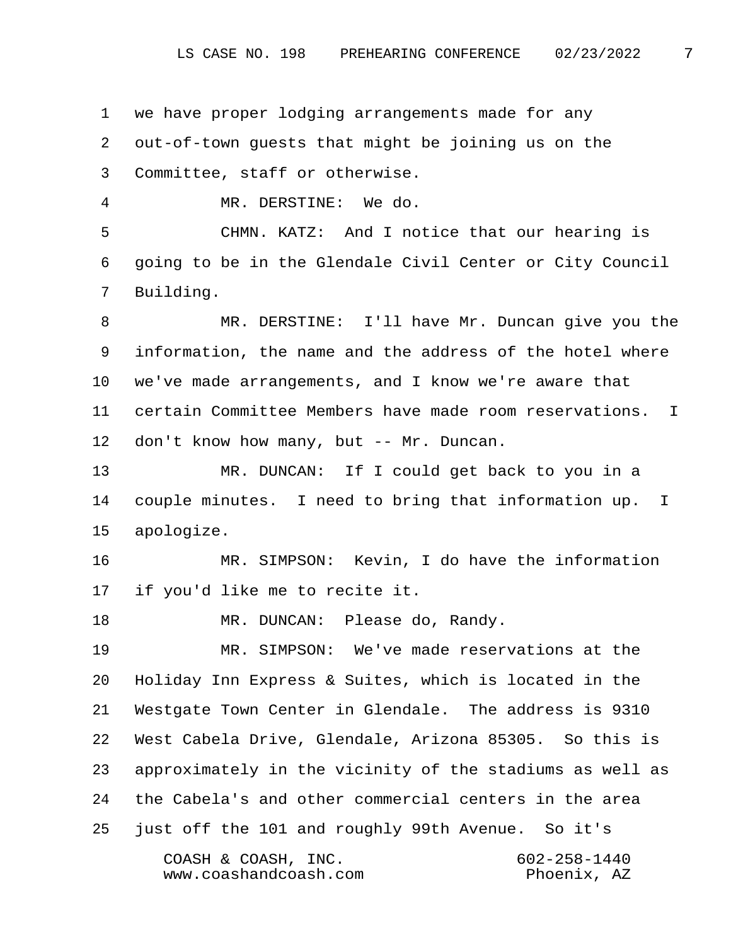1 we have proper lodging arrangements made for any 2 out-of-town guests that might be joining us on the 3 Committee, staff or otherwise. 4 MR. DERSTINE: We do. 5 CHMN. KATZ: And I notice that our hearing is 6 going to be in the Glendale Civil Center or City Council 7 Building. 8 MR. DERSTINE: I'll have Mr. Duncan give you the 9 information, the name and the address of the hotel where 10 we've made arrangements, and I know we're aware that 11 certain Committee Members have made room reservations. I 12 don't know how many, but -- Mr. Duncan. 13 MR. DUNCAN: If I could get back to you in a 14 couple minutes. I need to bring that information up. I 15 apologize. 16 MR. SIMPSON: Kevin, I do have the information 17 if you'd like me to recite it. 18 MR. DUNCAN: Please do, Randy. 19 MR. SIMPSON: We've made reservations at the 20 Holiday Inn Express & Suites, which is located in the 21 Westgate Town Center in Glendale. The address is 9310 22 West Cabela Drive, Glendale, Arizona 85305. So this is 23 approximately in the vicinity of the stadiums as well as 24 the Cabela's and other commercial centers in the area 25 just off the 101 and roughly 99th Avenue. So it's COASH & COASH, INC. 602-258-1440 www.coashandcoash.com Phoenix, AZ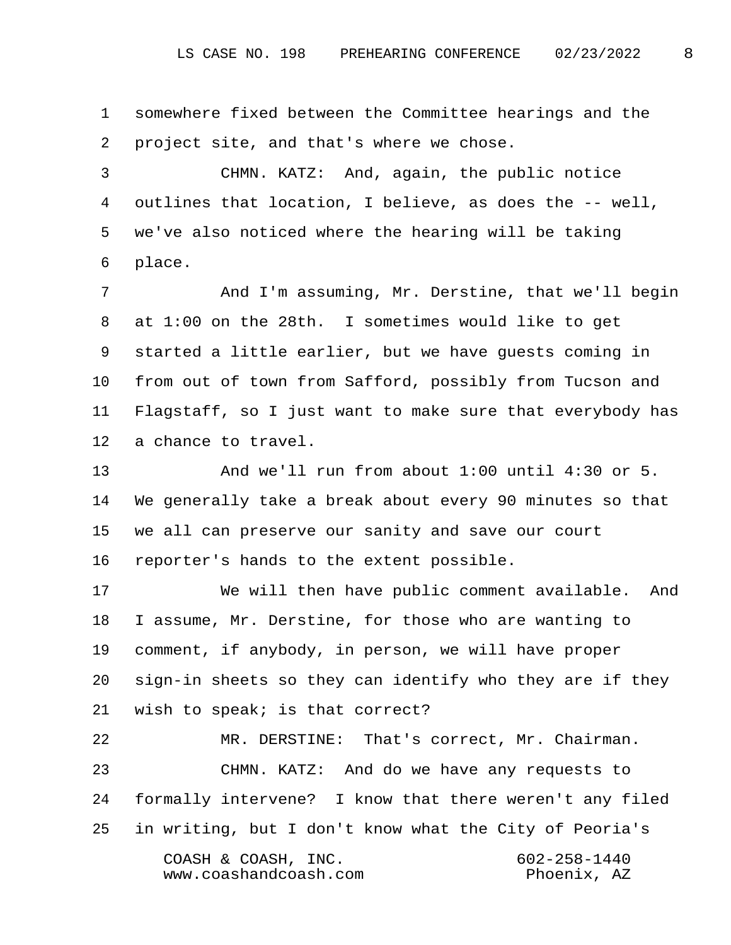1 somewhere fixed between the Committee hearings and the 2 project site, and that's where we chose.

 3 CHMN. KATZ: And, again, the public notice 4 outlines that location, I believe, as does the -- well, 5 we've also noticed where the hearing will be taking 6 place.

 7 And I'm assuming, Mr. Derstine, that we'll begin 8 at 1:00 on the 28th. I sometimes would like to get 9 started a little earlier, but we have guests coming in 10 from out of town from Safford, possibly from Tucson and 11 Flagstaff, so I just want to make sure that everybody has 12 a chance to travel.

13 And we'll run from about 1:00 until 4:30 or 5. 14 We generally take a break about every 90 minutes so that 15 we all can preserve our sanity and save our court 16 reporter's hands to the extent possible.

17 We will then have public comment available. And 18 I assume, Mr. Derstine, for those who are wanting to 19 comment, if anybody, in person, we will have proper 20 sign-in sheets so they can identify who they are if they 21 wish to speak; is that correct?

22 MR. DERSTINE: That's correct, Mr. Chairman. 23 CHMN. KATZ: And do we have any requests to 24 formally intervene? I know that there weren't any filed 25 in writing, but I don't know what the City of Peoria's COASH & COASH, INC. 602-258-1440 www.coashandcoash.com Phoenix, AZ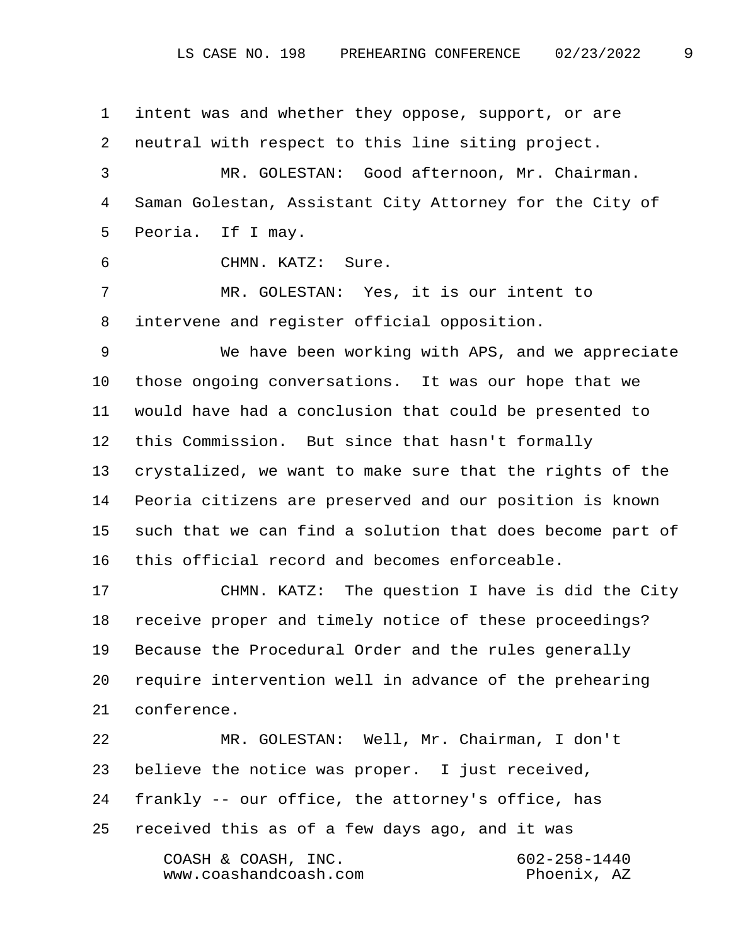1 intent was and whether they oppose, support, or are 2 neutral with respect to this line siting project. 3 MR. GOLESTAN: Good afternoon, Mr. Chairman. 4 Saman Golestan, Assistant City Attorney for the City of 5 Peoria. If I may. 6 CHMN. KATZ: Sure. 7 MR. GOLESTAN: Yes, it is our intent to 8 intervene and register official opposition. 9 We have been working with APS, and we appreciate 10 those ongoing conversations. It was our hope that we 11 would have had a conclusion that could be presented to 12 this Commission. But since that hasn't formally 13 crystalized, we want to make sure that the rights of the 14 Peoria citizens are preserved and our position is known 15 such that we can find a solution that does become part of 16 this official record and becomes enforceable. 17 CHMN. KATZ: The question I have is did the City 18 receive proper and timely notice of these proceedings? 19 Because the Procedural Order and the rules generally 20 require intervention well in advance of the prehearing 21 conference. 22 MR. GOLESTAN: Well, Mr. Chairman, I don't 23 believe the notice was proper. I just received, 24 frankly -- our office, the attorney's office, has 25 received this as of a few days ago, and it was COASH & COASH, INC. 602-258-1440 www.coashandcoash.com Phoenix, AZ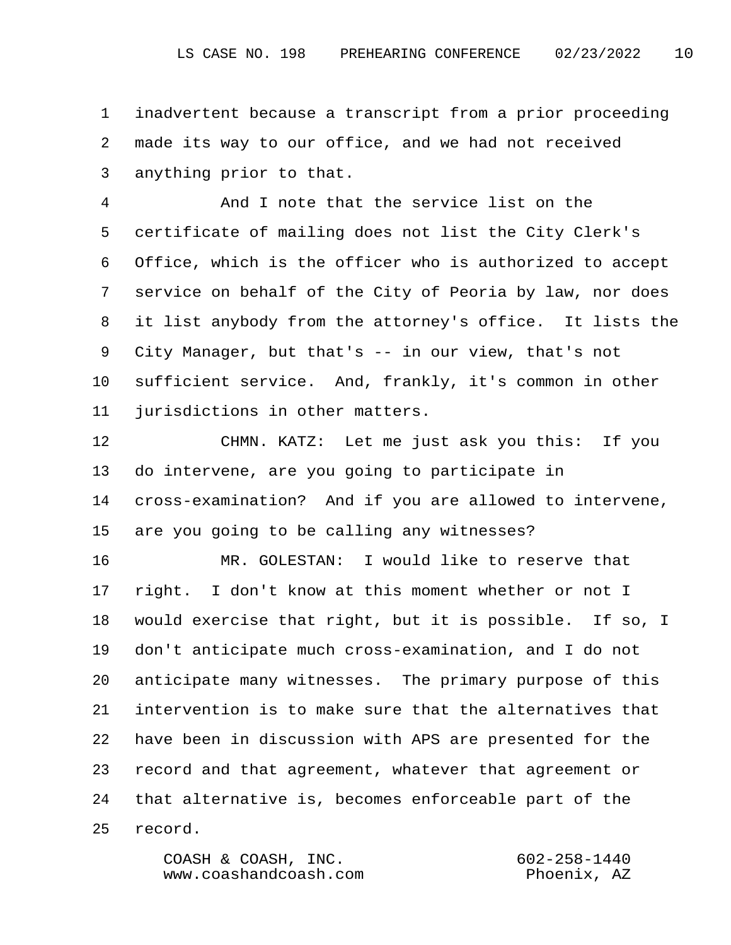1 inadvertent because a transcript from a prior proceeding 2 made its way to our office, and we had not received 3 anything prior to that.

 4 And I note that the service list on the 5 certificate of mailing does not list the City Clerk's 6 Office, which is the officer who is authorized to accept 7 service on behalf of the City of Peoria by law, nor does 8 it list anybody from the attorney's office. It lists the 9 City Manager, but that's -- in our view, that's not 10 sufficient service. And, frankly, it's common in other 11 jurisdictions in other matters.

12 CHMN. KATZ: Let me just ask you this: If you 13 do intervene, are you going to participate in 14 cross-examination? And if you are allowed to intervene, 15 are you going to be calling any witnesses?

16 MR. GOLESTAN: I would like to reserve that 17 right. I don't know at this moment whether or not I 18 would exercise that right, but it is possible. If so, I 19 don't anticipate much cross-examination, and I do not 20 anticipate many witnesses. The primary purpose of this 21 intervention is to make sure that the alternatives that 22 have been in discussion with APS are presented for the 23 record and that agreement, whatever that agreement or 24 that alternative is, becomes enforceable part of the 25 record.

> COASH & COASH, INC. 602-258-1440 www.coashandcoash.com Phoenix, AZ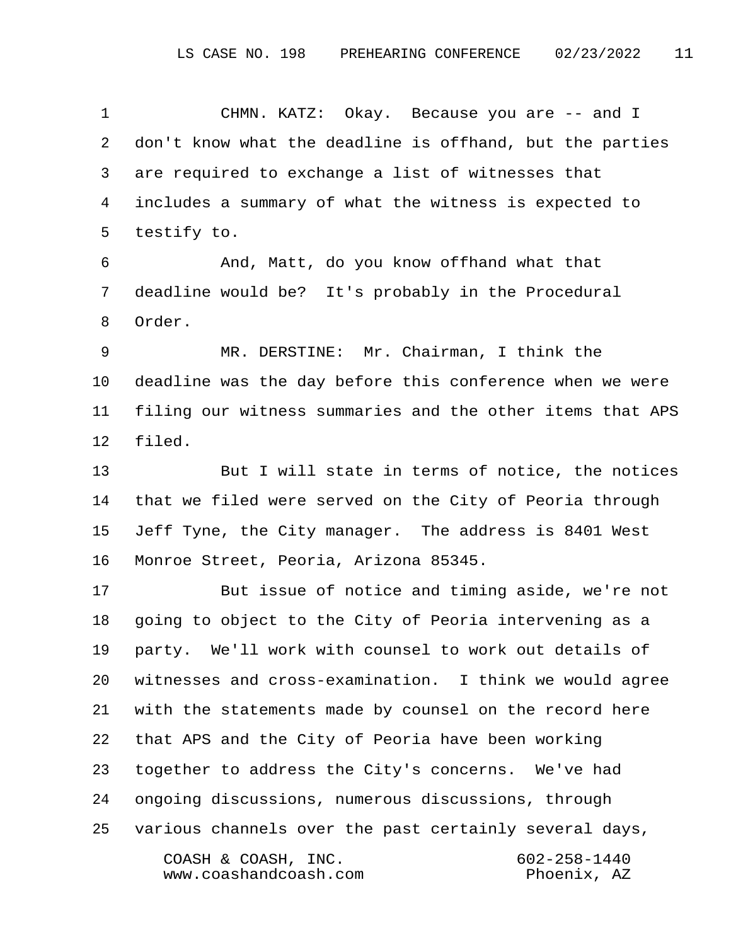1 CHMN. KATZ: Okay. Because you are -- and I 2 don't know what the deadline is offhand, but the parties 3 are required to exchange a list of witnesses that 4 includes a summary of what the witness is expected to 5 testify to. 6 And, Matt, do you know offhand what that 7 deadline would be? It's probably in the Procedural 8 Order. 9 MR. DERSTINE: Mr. Chairman, I think the 10 deadline was the day before this conference when we were 11 filing our witness summaries and the other items that APS 12 filed. 13 But I will state in terms of notice, the notices 14 that we filed were served on the City of Peoria through 15 Jeff Tyne, the City manager. The address is 8401 West 16 Monroe Street, Peoria, Arizona 85345. 17 But issue of notice and timing aside, we're not 18 going to object to the City of Peoria intervening as a 19 party. We'll work with counsel to work out details of 20 witnesses and cross-examination. I think we would agree

21 with the statements made by counsel on the record here

22 that APS and the City of Peoria have been working

23 together to address the City's concerns. We've had

24 ongoing discussions, numerous discussions, through

25 various channels over the past certainly several days, COASH & COASH, INC. 602-258-1440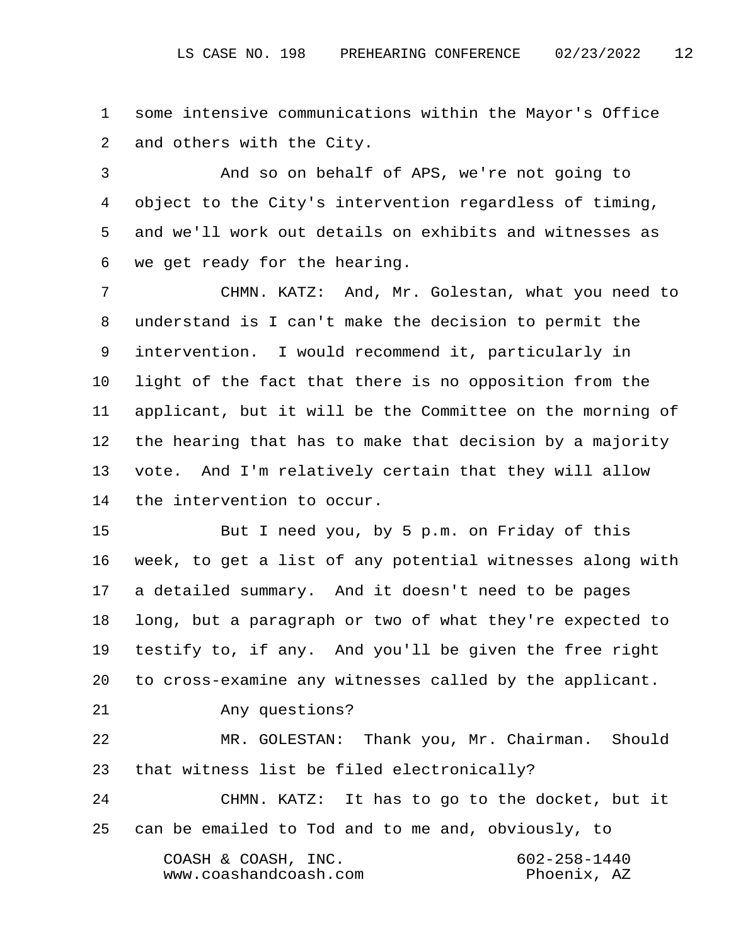1 some intensive communications within the Mayor's Office 2 and others with the City.

 3 And so on behalf of APS, we're not going to 4 object to the City's intervention regardless of timing, 5 and we'll work out details on exhibits and witnesses as 6 we get ready for the hearing.

 7 CHMN. KATZ: And, Mr. Golestan, what you need to 8 understand is I can't make the decision to permit the 9 intervention. I would recommend it, particularly in 10 light of the fact that there is no opposition from the 11 applicant, but it will be the Committee on the morning of 12 the hearing that has to make that decision by a majority 13 vote. And I'm relatively certain that they will allow 14 the intervention to occur.

15 But I need you, by 5 p.m. on Friday of this 16 week, to get a list of any potential witnesses along with 17 a detailed summary. And it doesn't need to be pages 18 long, but a paragraph or two of what they're expected to 19 testify to, if any. And you'll be given the free right 20 to cross-examine any witnesses called by the applicant.

21 Any questions?

22 MR. GOLESTAN: Thank you, Mr. Chairman. Should 23 that witness list be filed electronically?

24 CHMN. KATZ: It has to go to the docket, but it 25 can be emailed to Tod and to me and, obviously, to COASH & COASH, INC. 602-258-1440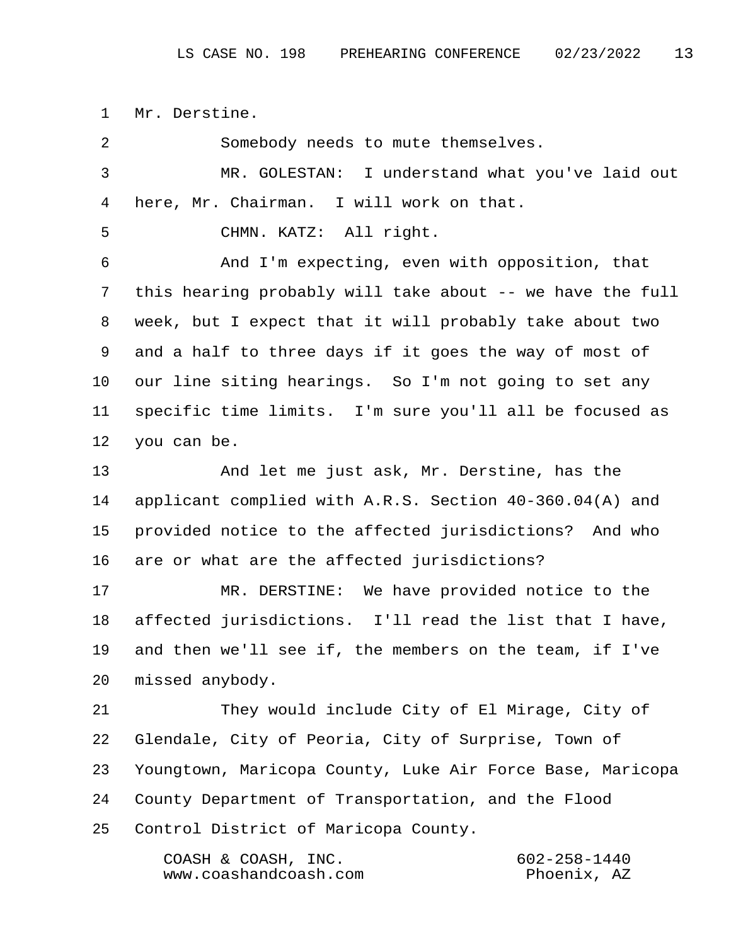1 Mr. Derstine.

 2 Somebody needs to mute themselves. 3 MR. GOLESTAN: I understand what you've laid out 4 here, Mr. Chairman. I will work on that. 5 CHMN. KATZ: All right. 6 And I'm expecting, even with opposition, that 7 this hearing probably will take about -- we have the full 8 week, but I expect that it will probably take about two 9 and a half to three days if it goes the way of most of 10 our line siting hearings. So I'm not going to set any 11 specific time limits. I'm sure you'll all be focused as 12 you can be. 13 And let me just ask, Mr. Derstine, has the 14 applicant complied with A.R.S. Section 40-360.04(A) and 15 provided notice to the affected jurisdictions? And who 16 are or what are the affected jurisdictions? 17 MR. DERSTINE: We have provided notice to the 18 affected jurisdictions. I'll read the list that I have, 19 and then we'll see if, the members on the team, if I've 20 missed anybody. 21 They would include City of El Mirage, City of 22 Glendale, City of Peoria, City of Surprise, Town of 23 Youngtown, Maricopa County, Luke Air Force Base, Maricopa 24 County Department of Transportation, and the Flood 25 Control District of Maricopa County. COASH & COASH, INC. 602-258-1440 www.coashandcoash.com Phoenix, AZ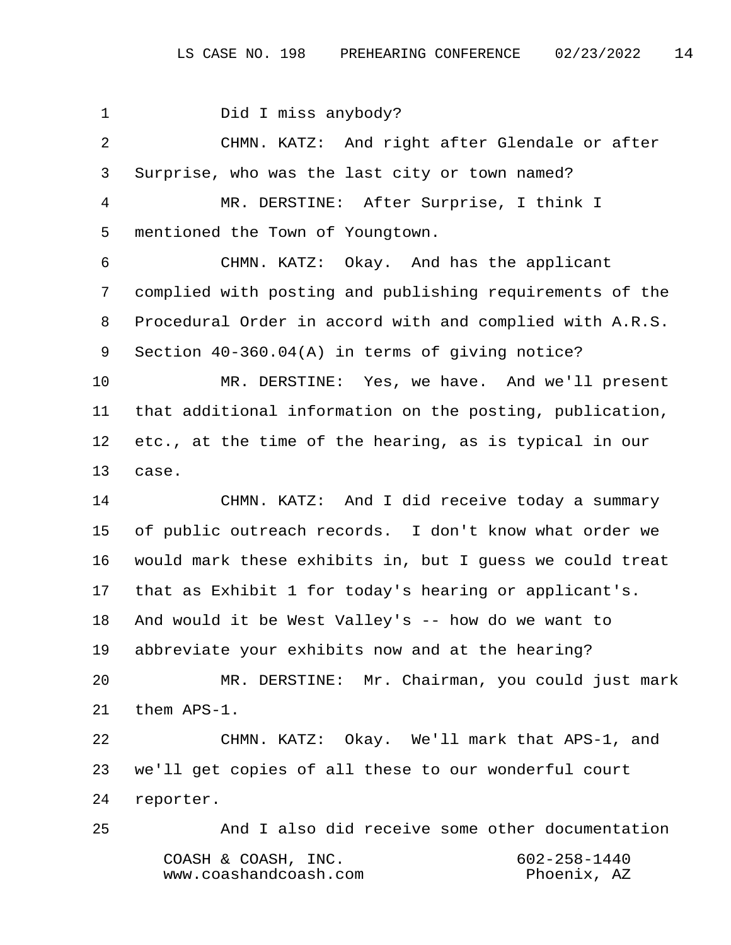1 Did I miss anybody? 2 CHMN. KATZ: And right after Glendale or after 3 Surprise, who was the last city or town named? 4 MR. DERSTINE: After Surprise, I think I 5 mentioned the Town of Youngtown. 6 CHMN. KATZ: Okay. And has the applicant 7 complied with posting and publishing requirements of the 8 Procedural Order in accord with and complied with A.R.S. 9 Section 40-360.04(A) in terms of giving notice? 10 MR. DERSTINE: Yes, we have. And we'll present 11 that additional information on the posting, publication, 12 etc., at the time of the hearing, as is typical in our 13 case. 14 CHMN. KATZ: And I did receive today a summary 15 of public outreach records. I don't know what order we 16 would mark these exhibits in, but I guess we could treat 17 that as Exhibit 1 for today's hearing or applicant's. 18 And would it be West Valley's -- how do we want to 19 abbreviate your exhibits now and at the hearing? 20 MR. DERSTINE: Mr. Chairman, you could just mark 21 them APS-1. 22 CHMN. KATZ: Okay. We'll mark that APS-1, and 23 we'll get copies of all these to our wonderful court 24 reporter. 25 And I also did receive some other documentation COASH & COASH, INC. 602-258-1440 www.coashandcoash.com Phoenix, AZ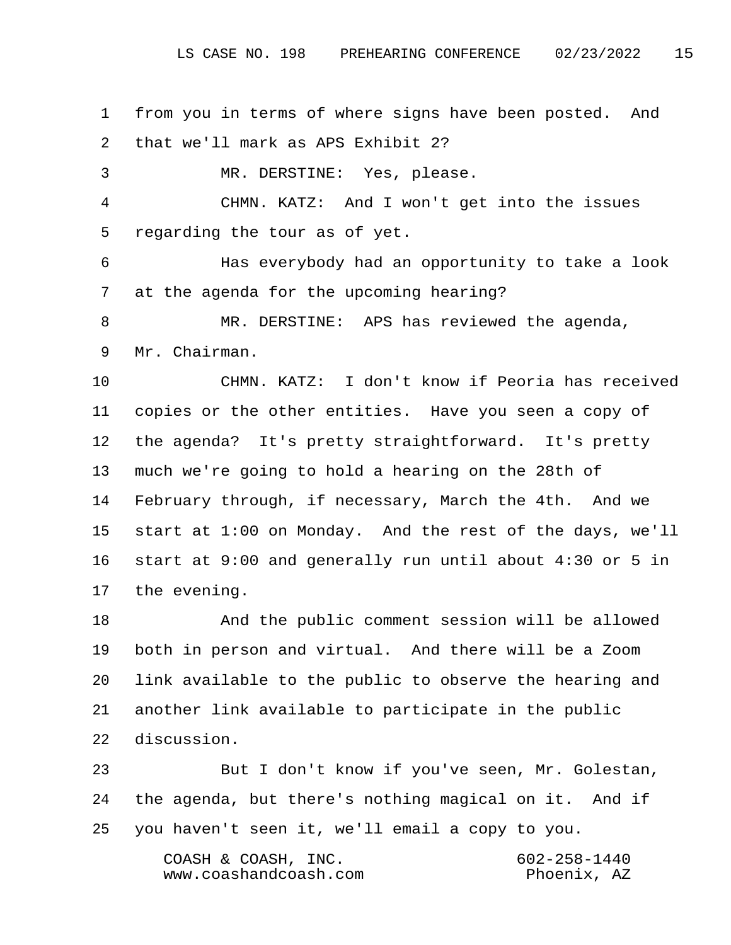1 from you in terms of where signs have been posted. And 2 that we'll mark as APS Exhibit 2?

3 MR. DERSTINE: Yes, please.

 4 CHMN. KATZ: And I won't get into the issues 5 regarding the tour as of yet.

 6 Has everybody had an opportunity to take a look 7 at the agenda for the upcoming hearing?

 8 MR. DERSTINE: APS has reviewed the agenda, 9 Mr. Chairman.

10 CHMN. KATZ: I don't know if Peoria has received 11 copies or the other entities. Have you seen a copy of 12 the agenda? It's pretty straightforward. It's pretty 13 much we're going to hold a hearing on the 28th of 14 February through, if necessary, March the 4th. And we 15 start at 1:00 on Monday. And the rest of the days, we'll 16 start at 9:00 and generally run until about 4:30 or 5 in 17 the evening.

18 And the public comment session will be allowed 19 both in person and virtual. And there will be a Zoom 20 link available to the public to observe the hearing and 21 another link available to participate in the public 22 discussion.

23 But I don't know if you've seen, Mr. Golestan, 24 the agenda, but there's nothing magical on it. And if 25 you haven't seen it, we'll email a copy to you.

> COASH & COASH, INC. 602-258-1440 www.coashandcoash.com Phoenix, AZ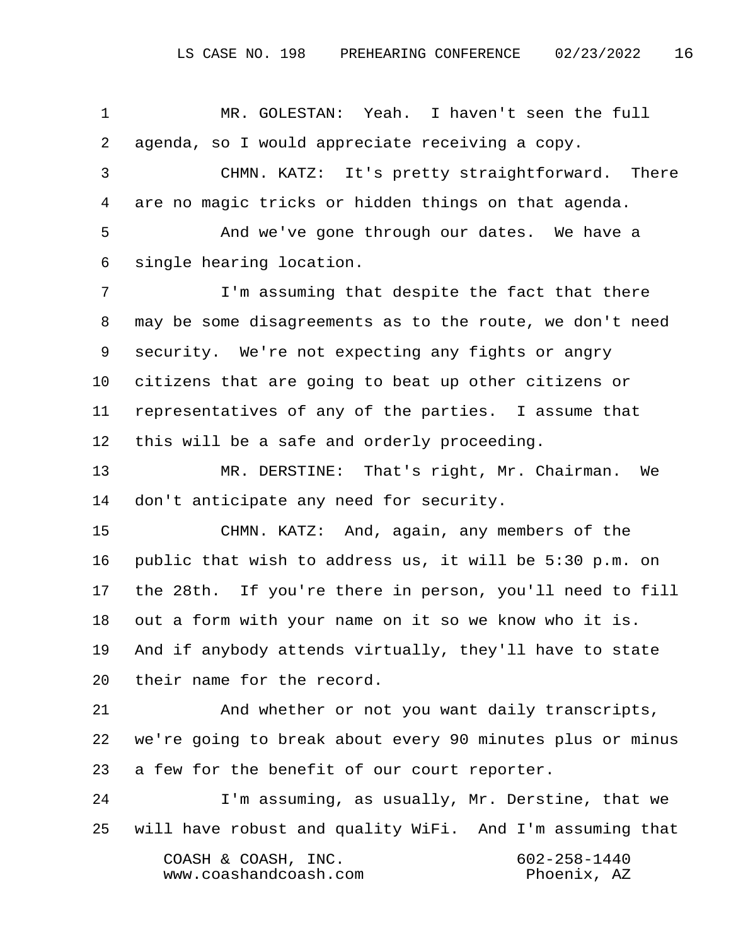1 MR. GOLESTAN: Yeah. I haven't seen the full 2 agenda, so I would appreciate receiving a copy. 3 CHMN. KATZ: It's pretty straightforward. There 4 are no magic tricks or hidden things on that agenda. 5 And we've gone through our dates. We have a 6 single hearing location. 7 I'm assuming that despite the fact that there 8 may be some disagreements as to the route, we don't need 9 security. We're not expecting any fights or angry 10 citizens that are going to beat up other citizens or 11 representatives of any of the parties. I assume that 12 this will be a safe and orderly proceeding. 13 MR. DERSTINE: That's right, Mr. Chairman. We 14 don't anticipate any need for security. 15 CHMN. KATZ: And, again, any members of the 16 public that wish to address us, it will be 5:30 p.m. on 17 the 28th. If you're there in person, you'll need to fill 18 out a form with your name on it so we know who it is. 19 And if anybody attends virtually, they'll have to state 20 their name for the record. 21 And whether or not you want daily transcripts, 22 we're going to break about every 90 minutes plus or minus 23 a few for the benefit of our court reporter.

24 I'm assuming, as usually, Mr. Derstine, that we 25 will have robust and quality WiFi. And I'm assuming that COASH & COASH, INC. 602-258-1440 www.coashandcoash.com Phoenix, AZ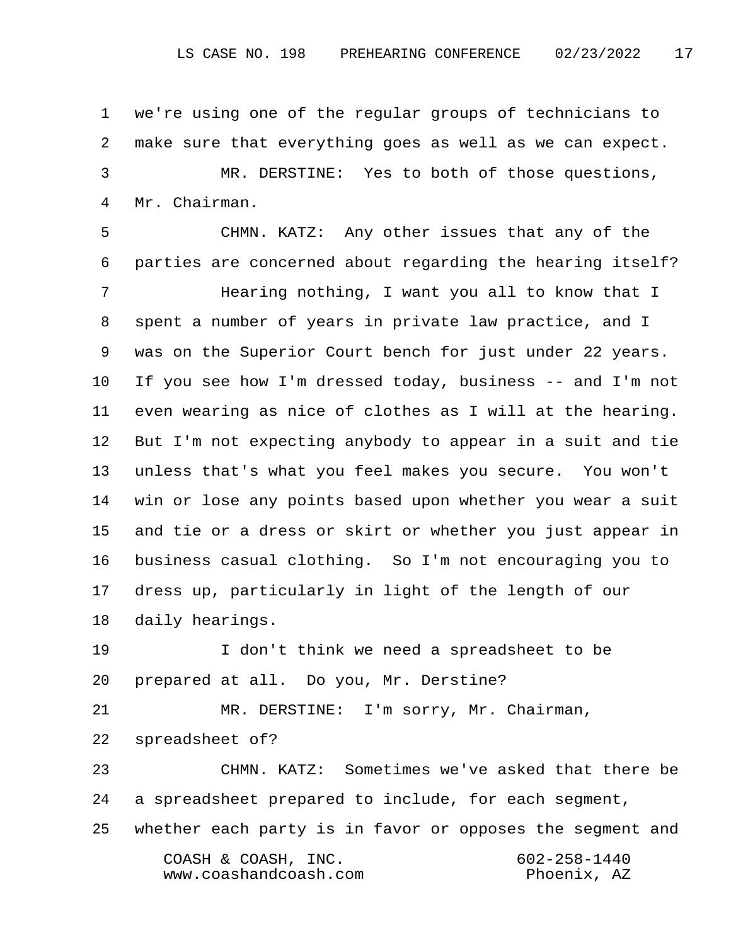1 we're using one of the regular groups of technicians to 2 make sure that everything goes as well as we can expect. 3 MR. DERSTINE: Yes to both of those questions, 4 Mr. Chairman.

 5 CHMN. KATZ: Any other issues that any of the 6 parties are concerned about regarding the hearing itself? 7 Hearing nothing, I want you all to know that I 8 spent a number of years in private law practice, and I 9 was on the Superior Court bench for just under 22 years. 10 If you see how I'm dressed today, business -- and I'm not 11 even wearing as nice of clothes as I will at the hearing. 12 But I'm not expecting anybody to appear in a suit and tie 13 unless that's what you feel makes you secure. You won't 14 win or lose any points based upon whether you wear a suit 15 and tie or a dress or skirt or whether you just appear in 16 business casual clothing. So I'm not encouraging you to 17 dress up, particularly in light of the length of our 18 daily hearings.

19 I don't think we need a spreadsheet to be 20 prepared at all. Do you, Mr. Derstine?

21 MR. DERSTINE: I'm sorry, Mr. Chairman, 22 spreadsheet of?

23 CHMN. KATZ: Sometimes we've asked that there be 24 a spreadsheet prepared to include, for each segment, 25 whether each party is in favor or opposes the segment and COASH & COASH, INC. 602-258-1440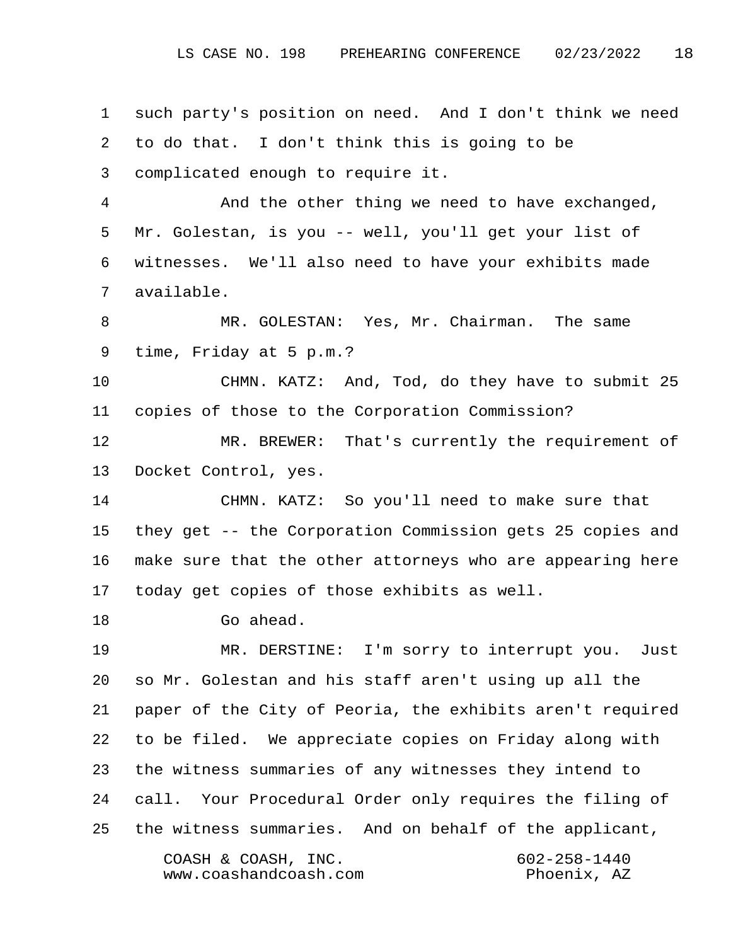1 such party's position on need. And I don't think we need 2 to do that. I don't think this is going to be 3 complicated enough to require it. 4 And the other thing we need to have exchanged, 5 Mr. Golestan, is you -- well, you'll get your list of 6 witnesses. We'll also need to have your exhibits made 7 available. 8 MR. GOLESTAN: Yes, Mr. Chairman. The same 9 time, Friday at 5 p.m.? 10 CHMN. KATZ: And, Tod, do they have to submit 25 11 copies of those to the Corporation Commission? 12 MR. BREWER: That's currently the requirement of 13 Docket Control, yes. 14 CHMN. KATZ: So you'll need to make sure that 15 they get -- the Corporation Commission gets 25 copies and 16 make sure that the other attorneys who are appearing here 17 today get copies of those exhibits as well. 18 Go ahead. 19 MR. DERSTINE: I'm sorry to interrupt you. Just 20 so Mr. Golestan and his staff aren't using up all the 21 paper of the City of Peoria, the exhibits aren't required 22 to be filed. We appreciate copies on Friday along with 23 the witness summaries of any witnesses they intend to 24 call. Your Procedural Order only requires the filing of 25 the witness summaries. And on behalf of the applicant, COASH & COASH, INC. 602-258-1440 www.coashandcoash.com Phoenix, AZ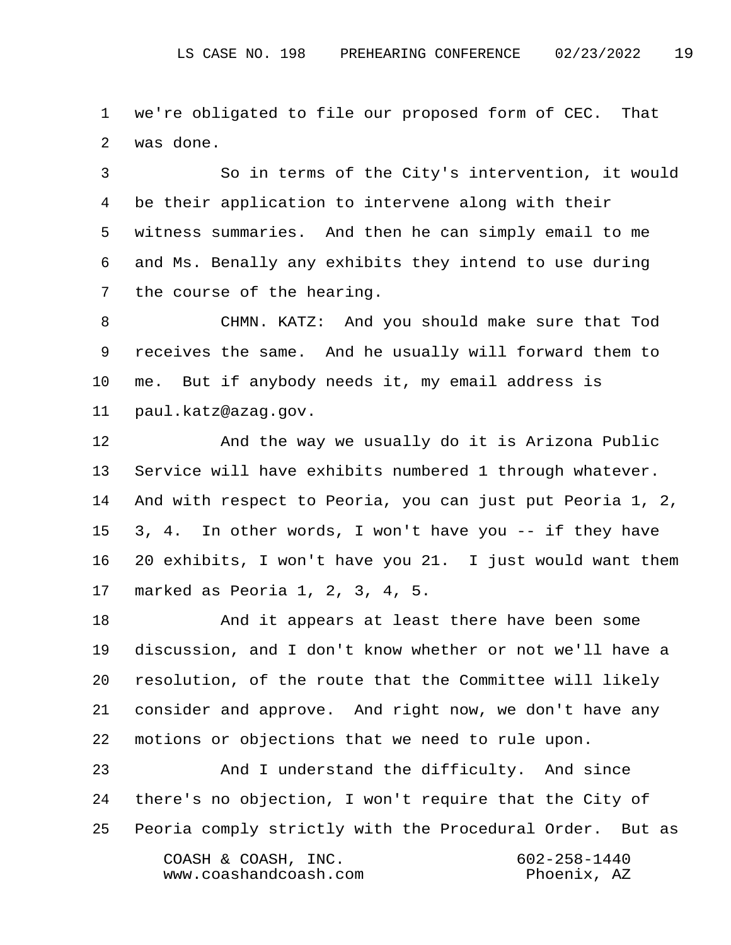1 we're obligated to file our proposed form of CEC. That 2 was done.

 3 So in terms of the City's intervention, it would 4 be their application to intervene along with their 5 witness summaries. And then he can simply email to me 6 and Ms. Benally any exhibits they intend to use during 7 the course of the hearing.

 8 CHMN. KATZ: And you should make sure that Tod 9 receives the same. And he usually will forward them to 10 me. But if anybody needs it, my email address is 11 paul.katz@azag.gov.

12 And the way we usually do it is Arizona Public 13 Service will have exhibits numbered 1 through whatever. 14 And with respect to Peoria, you can just put Peoria 1, 2, 15 3, 4. In other words, I won't have you -- if they have 16 20 exhibits, I won't have you 21. I just would want them 17 marked as Peoria 1, 2, 3, 4, 5.

18 And it appears at least there have been some 19 discussion, and I don't know whether or not we'll have a 20 resolution, of the route that the Committee will likely 21 consider and approve. And right now, we don't have any 22 motions or objections that we need to rule upon.

23 And I understand the difficulty. And since 24 there's no objection, I won't require that the City of 25 Peoria comply strictly with the Procedural Order. But as COASH & COASH, INC. 602-258-1440 www.coashandcoash.com Phoenix, AZ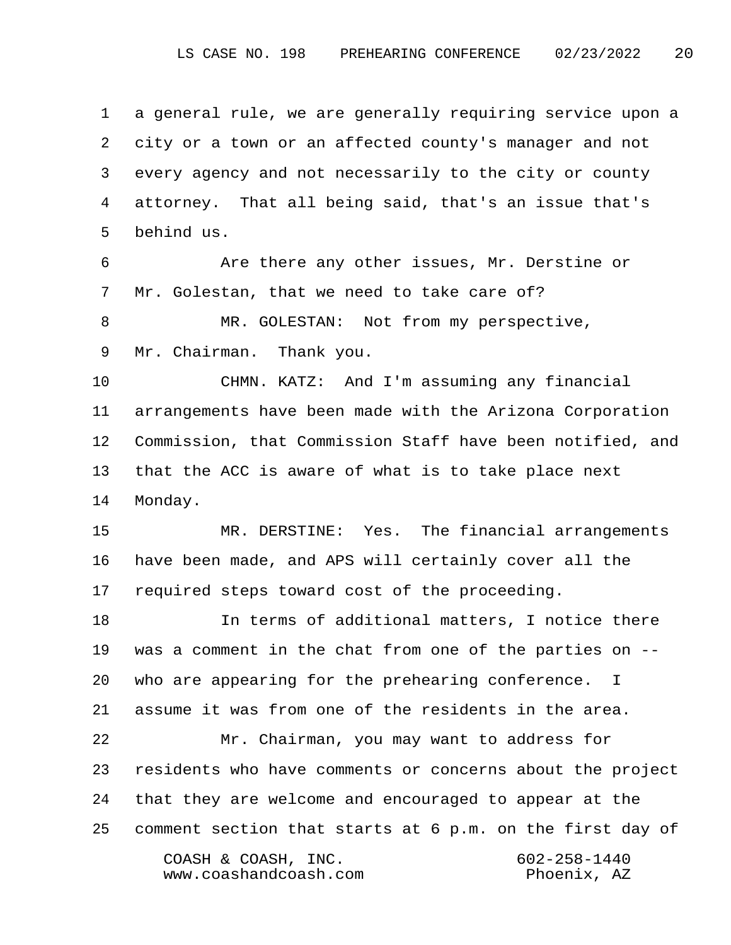1 a general rule, we are generally requiring service upon a 2 city or a town or an affected county's manager and not 3 every agency and not necessarily to the city or county 4 attorney. That all being said, that's an issue that's 5 behind us.

 6 Are there any other issues, Mr. Derstine or 7 Mr. Golestan, that we need to take care of?

 8 MR. GOLESTAN: Not from my perspective, 9 Mr. Chairman. Thank you.

10 CHMN. KATZ: And I'm assuming any financial 11 arrangements have been made with the Arizona Corporation 12 Commission, that Commission Staff have been notified, and 13 that the ACC is aware of what is to take place next 14 Monday.

15 MR. DERSTINE: Yes. The financial arrangements 16 have been made, and APS will certainly cover all the 17 required steps toward cost of the proceeding.

18 In terms of additional matters, I notice there 19 was a comment in the chat from one of the parties on -- 20 who are appearing for the prehearing conference. I 21 assume it was from one of the residents in the area. 22 Mr. Chairman, you may want to address for 23 residents who have comments or concerns about the project

24 that they are welcome and encouraged to appear at the 25 comment section that starts at 6 p.m. on the first day of

www.coashandcoash.com Phoenix, AZ

COASH & COASH, INC. 602-258-1440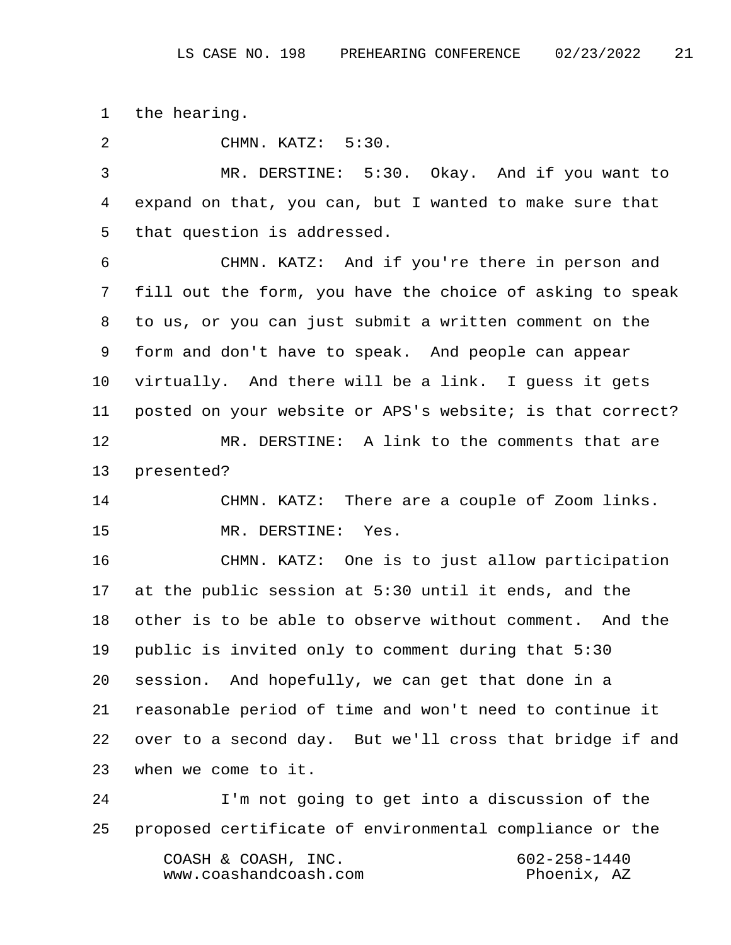1 the hearing.

2 CHMN. KATZ: 5:30.

 3 MR. DERSTINE: 5:30. Okay. And if you want to 4 expand on that, you can, but I wanted to make sure that 5 that question is addressed.

 6 CHMN. KATZ: And if you're there in person and 7 fill out the form, you have the choice of asking to speak 8 to us, or you can just submit a written comment on the 9 form and don't have to speak. And people can appear 10 virtually. And there will be a link. I guess it gets 11 posted on your website or APS's website; is that correct? 12 MR. DERSTINE: A link to the comments that are

13 presented?

14 CHMN. KATZ: There are a couple of Zoom links. 15 MR. DERSTINE: Yes.

16 CHMN. KATZ: One is to just allow participation 17 at the public session at 5:30 until it ends, and the 18 other is to be able to observe without comment. And the 19 public is invited only to comment during that 5:30 20 session. And hopefully, we can get that done in a 21 reasonable period of time and won't need to continue it 22 over to a second day. But we'll cross that bridge if and 23 when we come to it.

24 I'm not going to get into a discussion of the 25 proposed certificate of environmental compliance or the COASH & COASH, INC. 602-258-1440 www.coashandcoash.com Phoenix, AZ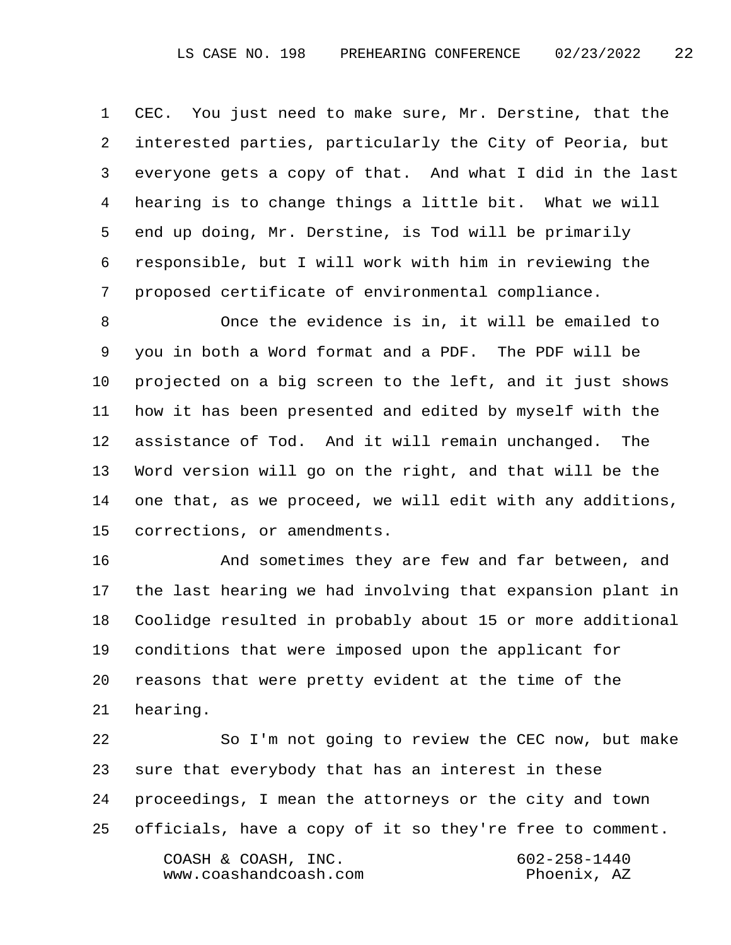1 CEC. You just need to make sure, Mr. Derstine, that the 2 interested parties, particularly the City of Peoria, but 3 everyone gets a copy of that. And what I did in the last 4 hearing is to change things a little bit. What we will 5 end up doing, Mr. Derstine, is Tod will be primarily 6 responsible, but I will work with him in reviewing the 7 proposed certificate of environmental compliance.

 8 Once the evidence is in, it will be emailed to 9 you in both a Word format and a PDF. The PDF will be 10 projected on a big screen to the left, and it just shows 11 how it has been presented and edited by myself with the 12 assistance of Tod. And it will remain unchanged. The 13 Word version will go on the right, and that will be the 14 one that, as we proceed, we will edit with any additions, 15 corrections, or amendments.

16 And sometimes they are few and far between, and 17 the last hearing we had involving that expansion plant in 18 Coolidge resulted in probably about 15 or more additional 19 conditions that were imposed upon the applicant for 20 reasons that were pretty evident at the time of the 21 hearing.

22 So I'm not going to review the CEC now, but make 23 sure that everybody that has an interest in these 24 proceedings, I mean the attorneys or the city and town 25 officials, have a copy of it so they're free to comment. COASH & COASH, INC. 602-258-1440 www.coashandcoash.com Phoenix, AZ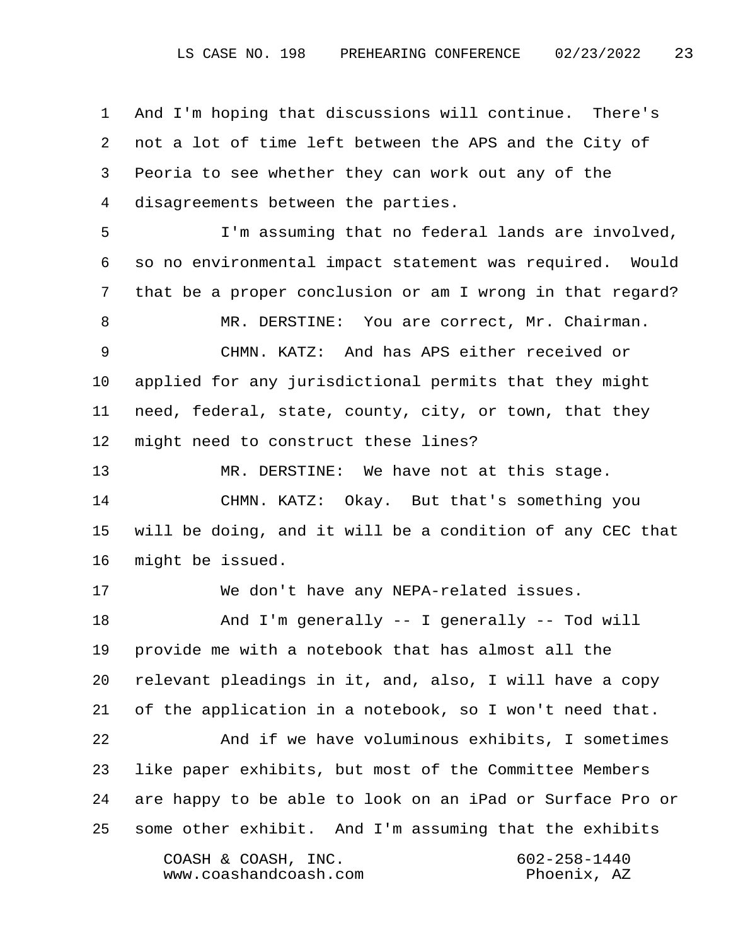1 And I'm hoping that discussions will continue. There's 2 not a lot of time left between the APS and the City of 3 Peoria to see whether they can work out any of the 4 disagreements between the parties.

 5 I'm assuming that no federal lands are involved, 6 so no environmental impact statement was required. Would 7 that be a proper conclusion or am I wrong in that regard?

 8 MR. DERSTINE: You are correct, Mr. Chairman. 9 CHMN. KATZ: And has APS either received or 10 applied for any jurisdictional permits that they might 11 need, federal, state, county, city, or town, that they 12 might need to construct these lines?

13 MR. DERSTINE: We have not at this stage.

14 CHMN. KATZ: Okay. But that's something you 15 will be doing, and it will be a condition of any CEC that 16 might be issued.

17 We don't have any NEPA-related issues.

18 And I'm generally -- I generally -- Tod will 19 provide me with a notebook that has almost all the 20 relevant pleadings in it, and, also, I will have a copy 21 of the application in a notebook, so I won't need that. 22 And if we have voluminous exhibits, I sometimes 23 like paper exhibits, but most of the Committee Members 24 are happy to be able to look on an iPad or Surface Pro or 25 some other exhibit. And I'm assuming that the exhibits COASH & COASH, INC. 602-258-1440 www.coashandcoash.com Phoenix, AZ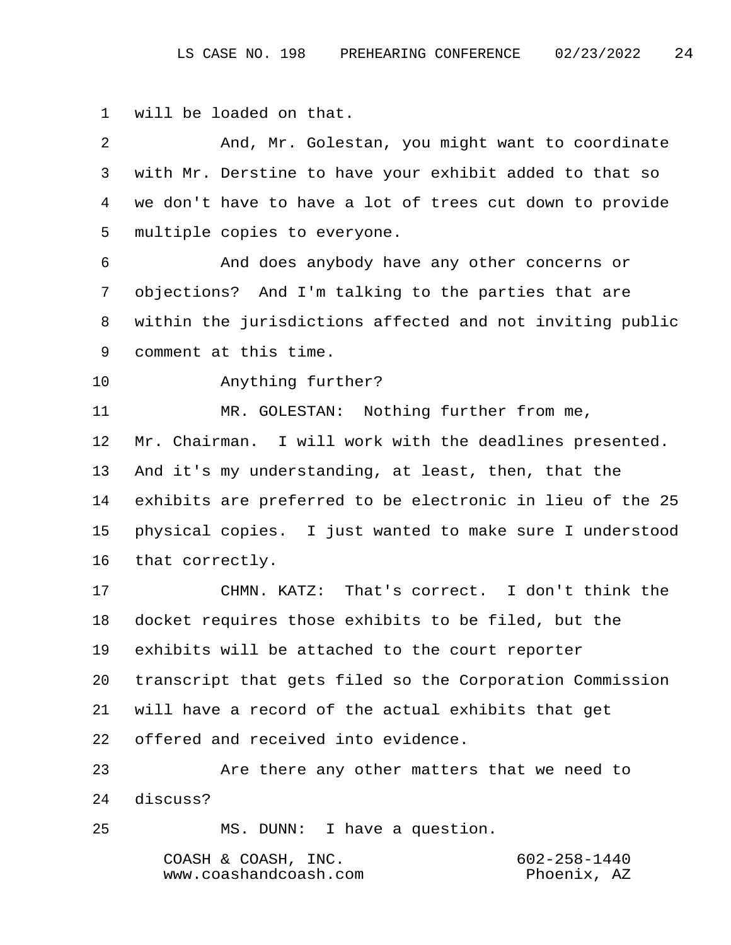1 will be loaded on that.

| $\overline{2}$ | And, Mr. Golestan, you might want to coordinate           |  |  |
|----------------|-----------------------------------------------------------|--|--|
| 3              | with Mr. Derstine to have your exhibit added to that so   |  |  |
| 4              | we don't have to have a lot of trees cut down to provide  |  |  |
| 5              | multiple copies to everyone.                              |  |  |
| 6              | And does anybody have any other concerns or               |  |  |
| 7              | objections? And I'm talking to the parties that are       |  |  |
| 8              | within the jurisdictions affected and not inviting public |  |  |
| 9              | comment at this time.                                     |  |  |
| 10             | Anything further?                                         |  |  |
| 11             | MR. GOLESTAN: Nothing further from me,                    |  |  |
| 12             | Mr. Chairman. I will work with the deadlines presented.   |  |  |
| 13             | And it's my understanding, at least, then, that the       |  |  |
| 14             | exhibits are preferred to be electronic in lieu of the 25 |  |  |
| 15             | physical copies. I just wanted to make sure I understood  |  |  |
| 16             | that correctly.                                           |  |  |
| 17             | CHMN. KATZ: That's correct. I don't think the             |  |  |
| 18             | docket requires those exhibits to be filed, but the       |  |  |
| 19             | exhibits will be attached to the court reporter           |  |  |
| 20             | transcript that gets filed so the Corporation Commission  |  |  |
| 21             | will have a record of the actual exhibits that get        |  |  |
| 22             | offered and received into evidence.                       |  |  |
| 23             | Are there any other matters that we need to               |  |  |
| 24             | discuss?                                                  |  |  |
| 25             | MS. DUNN: I have a question.                              |  |  |
|                | $602 - 258 - 1440$<br>COASH & COASH, INC.                 |  |  |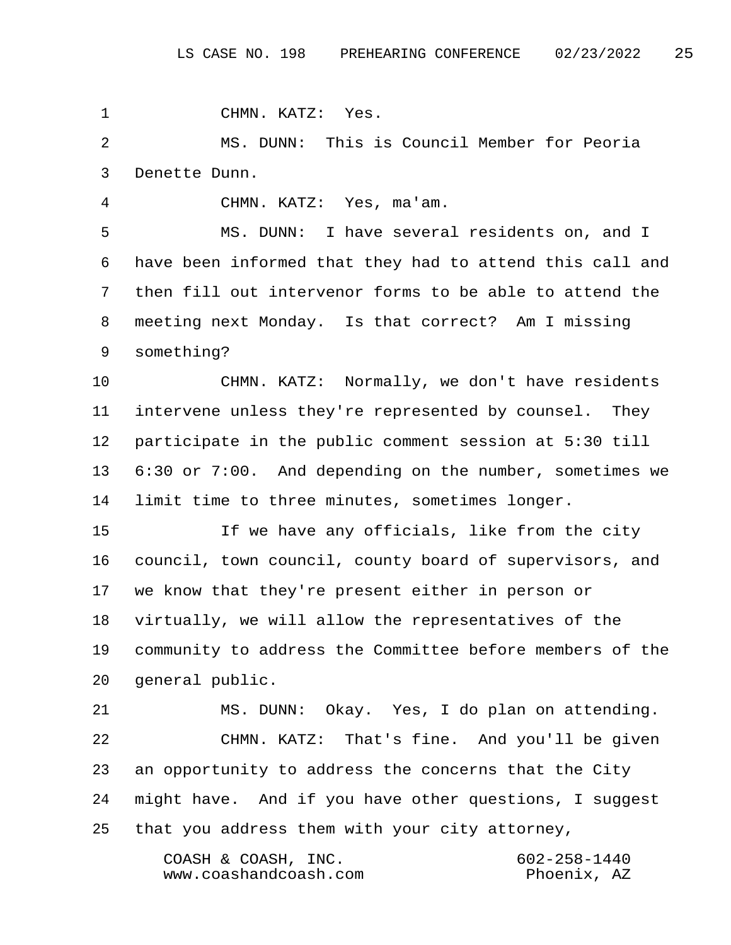1 CHMN. KATZ: Yes.

 2 MS. DUNN: This is Council Member for Peoria 3 Denette Dunn.

4 CHMN. KATZ: Yes, ma'am.

 5 MS. DUNN: I have several residents on, and I 6 have been informed that they had to attend this call and 7 then fill out intervenor forms to be able to attend the 8 meeting next Monday. Is that correct? Am I missing 9 something?

10 CHMN. KATZ: Normally, we don't have residents 11 intervene unless they're represented by counsel. They 12 participate in the public comment session at 5:30 till 13 6:30 or 7:00. And depending on the number, sometimes we 14 limit time to three minutes, sometimes longer.

15 If we have any officials, like from the city 16 council, town council, county board of supervisors, and 17 we know that they're present either in person or 18 virtually, we will allow the representatives of the 19 community to address the Committee before members of the 20 general public.

21 MS. DUNN: Okay. Yes, I do plan on attending. 22 CHMN. KATZ: That's fine. And you'll be given 23 an opportunity to address the concerns that the City 24 might have. And if you have other questions, I suggest 25 that you address them with your city attorney,

> COASH & COASH, INC. 602-258-1440 www.coashandcoash.com Phoenix, AZ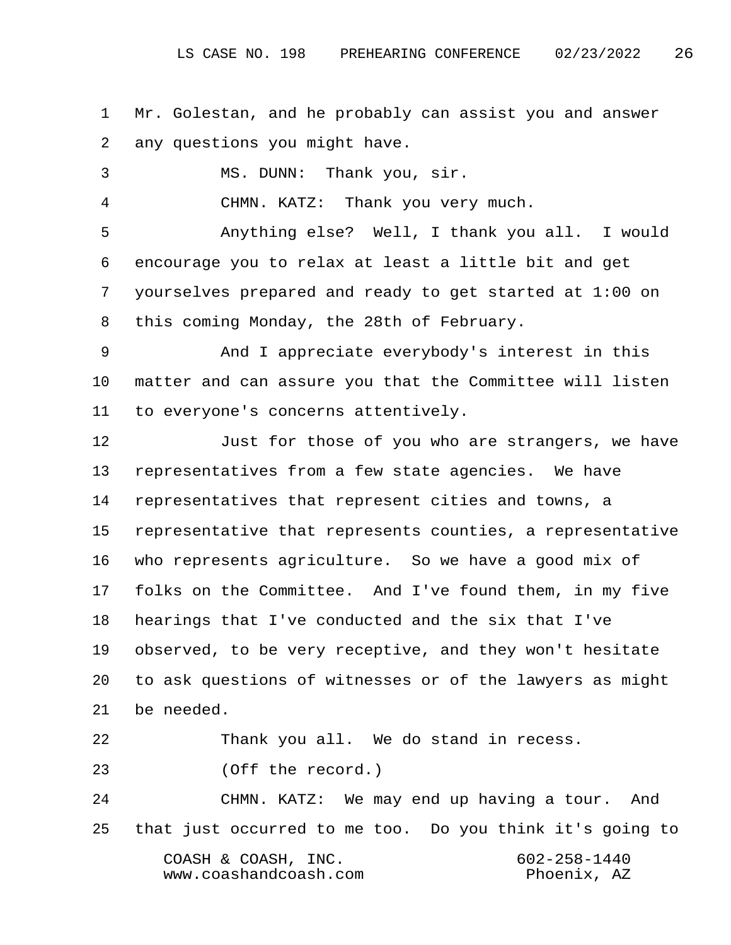1 Mr. Golestan, and he probably can assist you and answer 2 any questions you might have.

3 MS. DUNN: Thank you, sir.

4 CHMN. KATZ: Thank you very much.

 5 Anything else? Well, I thank you all. I would 6 encourage you to relax at least a little bit and get 7 yourselves prepared and ready to get started at 1:00 on 8 this coming Monday, the 28th of February.

 9 And I appreciate everybody's interest in this 10 matter and can assure you that the Committee will listen 11 to everyone's concerns attentively.

12 Just for those of you who are strangers, we have 13 representatives from a few state agencies. We have 14 representatives that represent cities and towns, a 15 representative that represents counties, a representative 16 who represents agriculture. So we have a good mix of 17 folks on the Committee. And I've found them, in my five 18 hearings that I've conducted and the six that I've 19 observed, to be very receptive, and they won't hesitate 20 to ask questions of witnesses or of the lawyers as might 21 be needed.

22 Thank you all. We do stand in recess.

23 (Off the record.)

24 CHMN. KATZ: We may end up having a tour. And 25 that just occurred to me too. Do you think it's going to COASH & COASH, INC. 602-258-1440 www.coashandcoash.com Phoenix, AZ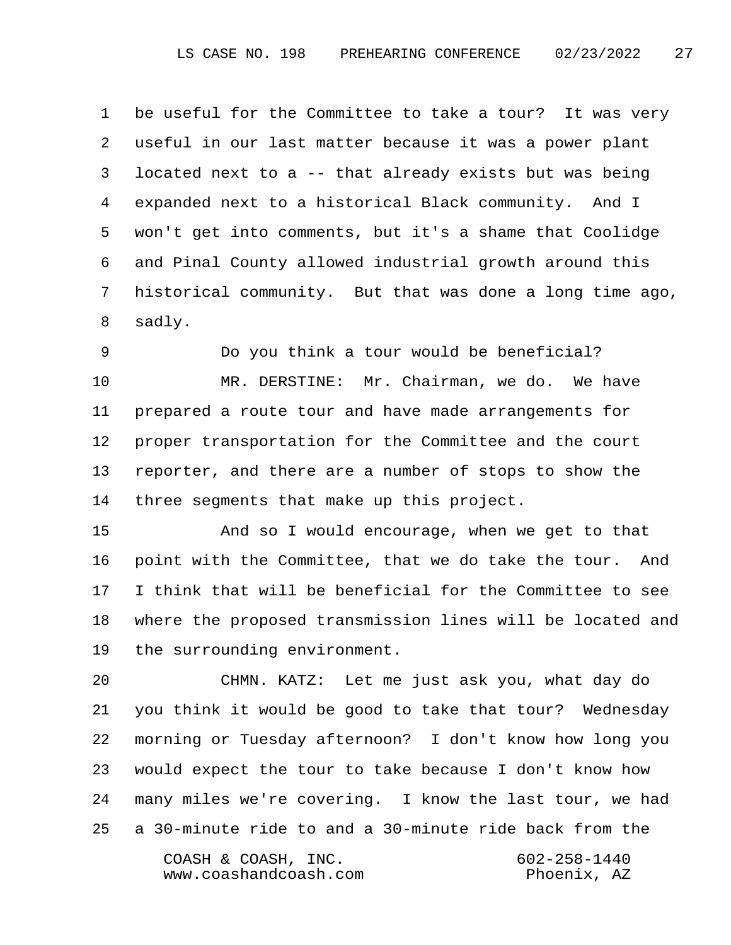1 be useful for the Committee to take a tour? It was very 2 useful in our last matter because it was a power plant 3 located next to a -- that already exists but was being 4 expanded next to a historical Black community. And I 5 won't get into comments, but it's a shame that Coolidge 6 and Pinal County allowed industrial growth around this 7 historical community. But that was done a long time ago, 8 sadly.

 9 Do you think a tour would be beneficial? 10 MR. DERSTINE: Mr. Chairman, we do. We have 11 prepared a route tour and have made arrangements for 12 proper transportation for the Committee and the court 13 reporter, and there are a number of stops to show the 14 three segments that make up this project.

15 And so I would encourage, when we get to that 16 point with the Committee, that we do take the tour. And 17 I think that will be beneficial for the Committee to see 18 where the proposed transmission lines will be located and 19 the surrounding environment.

20 CHMN. KATZ: Let me just ask you, what day do 21 you think it would be good to take that tour? Wednesday 22 morning or Tuesday afternoon? I don't know how long you 23 would expect the tour to take because I don't know how 24 many miles we're covering. I know the last tour, we had 25 a 30-minute ride to and a 30-minute ride back from the COASH & COASH, INC. 602-258-1440 www.coashandcoash.com Phoenix, AZ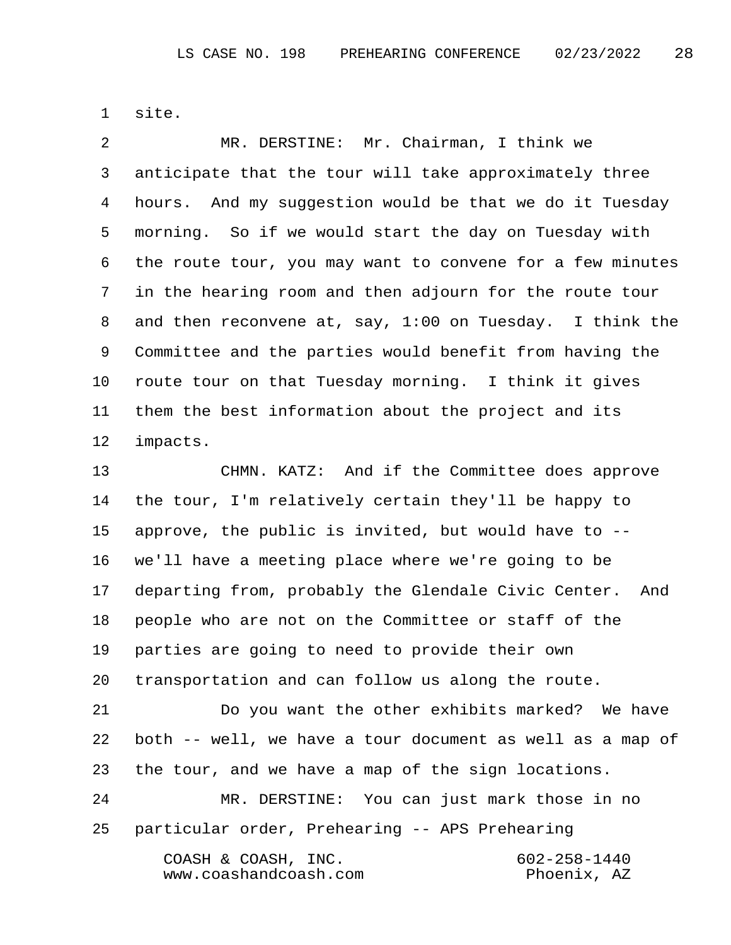1 site.

 2 MR. DERSTINE: Mr. Chairman, I think we 3 anticipate that the tour will take approximately three 4 hours. And my suggestion would be that we do it Tuesday 5 morning. So if we would start the day on Tuesday with 6 the route tour, you may want to convene for a few minutes 7 in the hearing room and then adjourn for the route tour 8 and then reconvene at, say, 1:00 on Tuesday. I think the 9 Committee and the parties would benefit from having the 10 route tour on that Tuesday morning. I think it gives 11 them the best information about the project and its 12 impacts.

13 CHMN. KATZ: And if the Committee does approve 14 the tour, I'm relatively certain they'll be happy to 15 approve, the public is invited, but would have to -- 16 we'll have a meeting place where we're going to be 17 departing from, probably the Glendale Civic Center. And 18 people who are not on the Committee or staff of the 19 parties are going to need to provide their own 20 transportation and can follow us along the route.

21 Do you want the other exhibits marked? We have 22 both -- well, we have a tour document as well as a map of 23 the tour, and we have a map of the sign locations.

24 MR. DERSTINE: You can just mark those in no 25 particular order, Prehearing -- APS Prehearing COASH & COASH, INC. 602-258-1440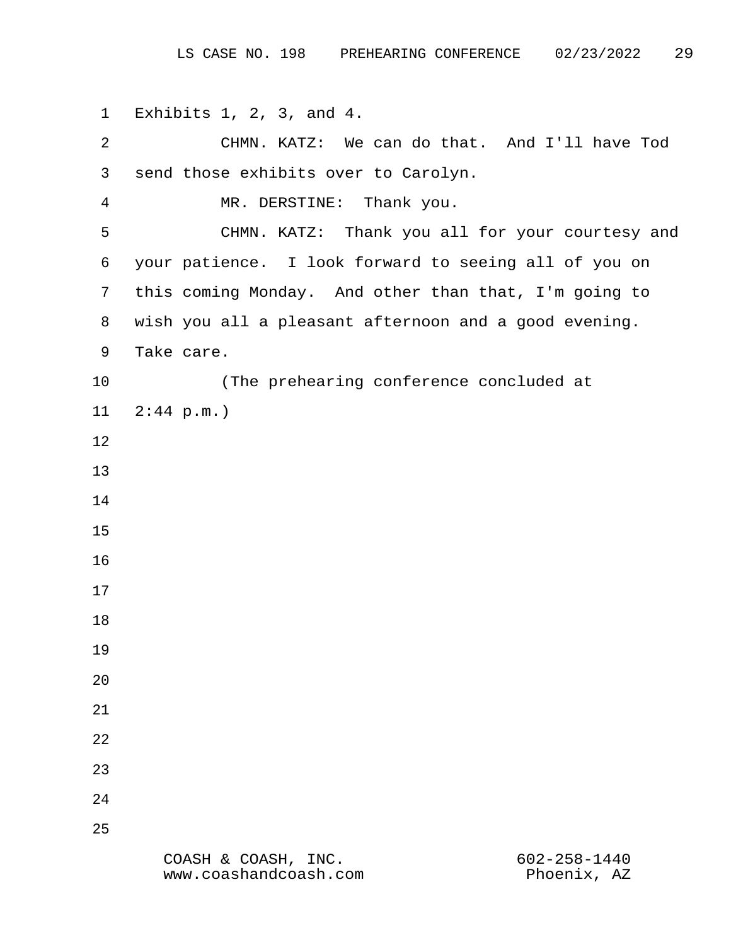1 Exhibits 1, 2, 3, and 4. 2 CHMN. KATZ: We can do that. And I'll have Tod 3 send those exhibits over to Carolyn. 4 MR. DERSTINE: Thank you. 5 CHMN. KATZ: Thank you all for your courtesy and 6 your patience. I look forward to seeing all of you on 7 this coming Monday. And other than that, I'm going to 8 wish you all a pleasant afternoon and a good evening. 9 Take care. 10 (The prehearing conference concluded at 11 2:44 p.m.) 12 13 14 15 16 17 18 19 20 21 22 23 24 25 COASH & COASH, INC. 602-258-1440 www.coashandcoash.com Phoenix, AZ